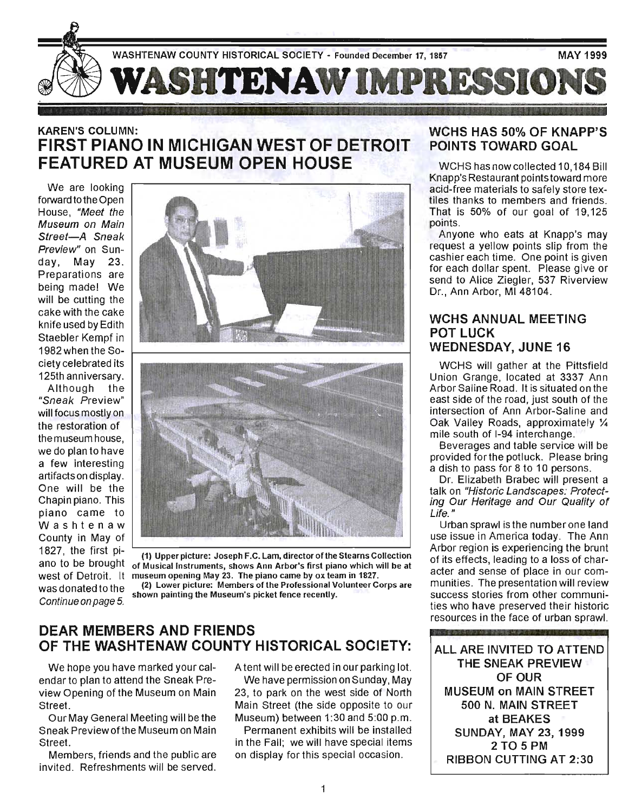

## KAREN'S COLUMN: FIRST PIANO IN MICHIGAN WEST OF DETROIT FEATURED AT MUSEUM OPEN HOUSE

We are looking forward to the Open House, "Meet the Museum on Main Street-A Sneak Preview" on Sunday, May 23. Preparations are being made! We will be cutting the cake with the cake knife used by Edith Staebler Kempf in ciety celebrated its 125th anniversary.

Although the "Sneak Preview" will focus mostly on the restoration of the museum house, we do plan to have a few interesting artifacts on display. One will be the Chapin piano. This piano came to Washtenaw County in May of 1827, the first piano to be brought west of Detroit. It was donated to the Continue on page 5.





(1) Upper picture: Joseph F .C. Lam, director of the Stearns Collection of Musical Instruments, shows Ann Arbor's first piano which will be at museum opening May 23. The piano came by ox team in 1827.

(2) Lower picture: Members of the Professional Volunteer Corps are shown painting the Museum's picket fence recently.

### DEAR MEMBERS AND FRIENDS OF THE WASHTENAW COUNTY HISTORICAL SOCIETY:

We hope you have marked your calendar to plan to attend the Sneak Preview Opening of the Museum on Main Street.

Our May General Meeting will be the Sneak Preview ofthe Museum on Main Street.

Members, friends and the public are invited. Refreshments will be served.

A tent will be erected in our parking lot.

We have permission on Sunday, May 23, to park on the west side of North Main Street (the side opposite to our Museum) between 1:30 and 5:00 p.m.

Permanent exhibits will be installed in the Fall; we will have special items on display for this special occasion .

### WCHS HAS 50% OF KNAPP'S POINTS TOWARD GOAL

WCHS has now collected 10,184 Bill Knapp's Restaurant points toward more acid-free materials to safely store textiles thanks to members and friends. That is 50% of our goal of 19,125 points.

Anyone who eats at Knapp's may request a yellow points slip from the cashier each time. One point is given for each dollar spent. Please give or send to Alice Ziegler, 537 Riverview Dr., Ann Arbor, M148104.

### WCHS ANNUAL MEETING POT LUCK WEDNESDAY, JUNE 16

WCHS will gather at the Pittsfield Union Grange, located at 3337 Ann Arbor Saline Road. It is situated on the east side of the road, just south of the intersection of Ann Arbor-Saline and Oak Valley Roads, approximately % mile south of 1-94 interchange.

Beverages and table service will be provided forthe potluck. Please bring a dish to pass for 8 to 10 persons.

Dr. Elizabeth Brabec will present a talk on "Historic Landscapes: Protecting Our Heritage and Our Quality of Life. "

Urban sprawl isthe numberone land use issue in America today. The Ann Arbor region is experiencing the brunt of its effects, leading to a loss of character and sense of place in our communities. The presentation will review success stories from other communities who have preserved their historic resources in the face of urban sprawl.

ALL ARE INVITED TO ATTEND THE SNEAK PREVIEW OF OUR MUSEUM on MAIN STREET 500 N. MAIN STREET at BEAKES SUNDAY, MAY 23, 1999 2 TO 5 PM RIBBON CUTTING AT 2:30

8月1日小児国連事務第345年まで参与する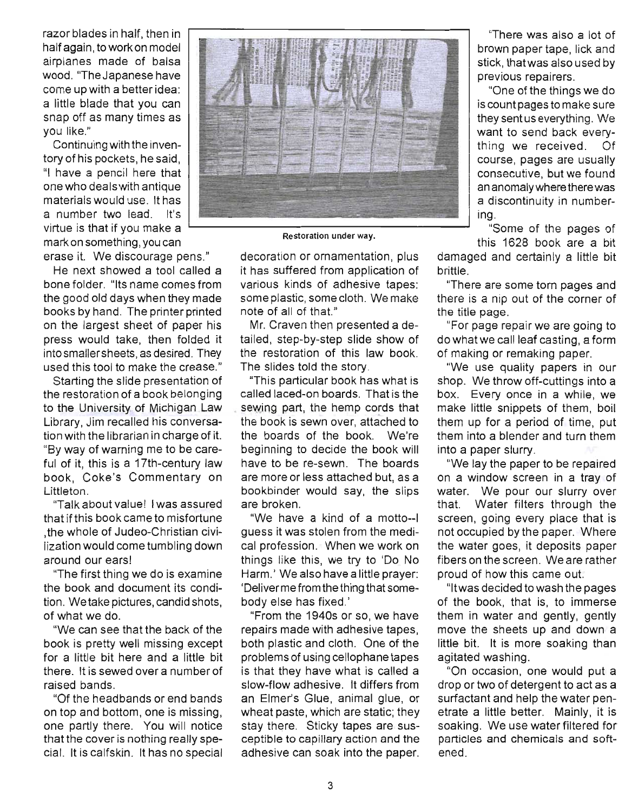razor blades in half, then in half again, to work on model airplanes made of balsa wood. "The Japanese have come up with a better idea: a little blade that you can snap off as many times as you like."

Continuing with the inventory of his pockets, he said, "I have a pencil here that one who deals with antique materials would use. It has a number two lead. It's virtue is that if you make a mark on something, you can

erase it. We discourage pens."

He next showed a tool called a bone folder. "Its name comes from the good old days when they made books by hand. The printer printed on the largest sheet of paper his press would take, then folded it into smallersheets, as desired. They used this tool to make the crease."

Starting the slide presentation of the restoration of a book belonging to the University of Michigan Law Library, Jim recalled his conversation with the librarian in charge of it. "By way of warning me to be careful of it, this is a 17th-century law book, Coke's Commentary on Littleton.

"Talk about value! I was assured that if this book came to misfortune ,the whole of Judea-Christian civilization would come tumbling down around our ears!

"The first thing we do is examine the book and document its condition. We take pictures, candid shots, of what we do.

"We can see that the back of the book is pretty well missing except for a little bit here and a little bit there. It is sewed over a number of raised bands.

"Of the headbands or end bands on top and bottom, one is missing, one partly there. You will notice that the cover is nothing really special. It is calfskin. It has no special



Restoration under way.

decoration or ornamentation, plus it has suffered from application of ' various kinds of adhesive tapes: some plastic, some cloth. We make note of all of that."

Mr. Craven then presented a detailed, step-by-step slide show of the restoration of this law book. The slides told the story.

"This particular book has what is called laced-on boards. That is the sewing part, the hemp cords that the book is sewn over, attached to the boards of the book. We're beginning to decide the book will have to be re-sewn. The boards are more or less attached but, as a bookbinder would say, the slips are broken.

"We have a kind of a motto--I guess it was stolen from the medical profession. When we work on things like this, we try to 'Do No Harm.' We also have a little prayer: 'Deliver me from the thing that somebody else has fixed.'

"From the 1940s or so, we have repairs made with adhesive tapes, both plastic and cloth. One of the problems of using cellophane tapes is that they have what is called a slow-flow adhesive. It differs from an Elmer's Glue, animal glue, or wheat paste, which are static; they stay there. Sticky tapes are susceptible to capillary action and the adhesive can soak into the paper.

"There was also a lot of brown paper tape, lick and stick, thatwas also used by previous repairers.

"One of the things we do is count pages to make sure they sent us everything. We want to send back everything we received. Of course, pages are usually consecutive, but we found an anomaly where there was a discontinuity in numbering.

"Some of the pages of this 1628 book are a bit

damaged and certainly a little bit brittle.

"There are some tom pages and there is a nip out of the corner of the title page.

"For page repair we are going to do what we call leaf casting, a form of making or remaking paper.

"We use quality papers in our shop. We throw off-cuttings into a box. Every once in a while, we make little snippets of them, boil them up for a period of time, put them into a blender and turn them into a paper slurry.

"We lay the paper to be repaired on a window screen in a tray of water. We pour our slurry over that. Water filters through the screen, going every place that is not occupied by the paper. Where the water goes, it deposits paper fibers on the screen. We are rather proud of how this came out.

"It was decided to wash the pages of the book, that is, to immerse them in water and gently, gently move the sheets up and down a little bit. It is more soaking than agitated washing.

"On occasion, one would put a drop or two of detergent to act as a surfactant and help the water penetrate a little better. Mainly, it is soaking. We use water filtered for particles and chemicals and softened.